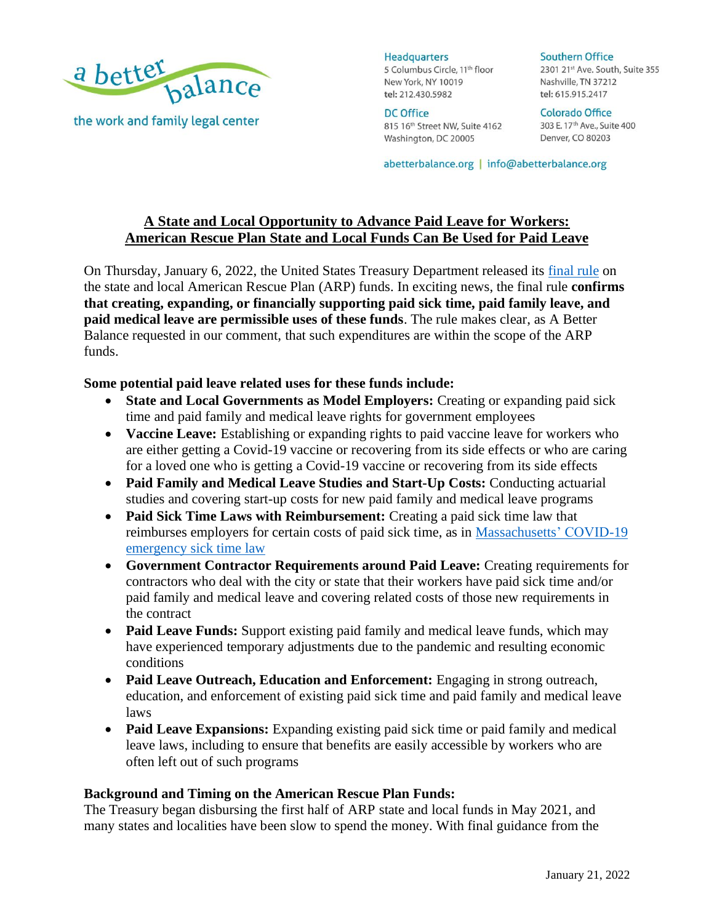

**Headquarters** 5 Columbus Circle, 11<sup>th</sup> floor New York, NY 10019 tel: 212.430.5982

DC Office 815 16th Street NW, Suite 4162 Washington, DC 20005

**Southern Office** 2301 21st Ave. South, Suite 355 Nashville, TN 37212 tel: 615.915.2417

Colorado Office 303 E. 17<sup>th</sup> Ave., Suite 400 Denver, CO 80203

abetterbalance.org | info@abetterbalance.org

# **A State and Local Opportunity to Advance Paid Leave for Workers: American Rescue Plan State and Local Funds Can Be Used for Paid Leave**

On Thursday, January 6, 2022, the United States Treasury Department released its [final rule](https://home.treasury.gov/system/files/136/SLFRF-Final-Rule.pdf) on the state and local American Rescue Plan (ARP) funds. In exciting news, the final rule **confirms that creating, expanding, or financially supporting paid sick time, paid family leave, and paid medical leave are permissible uses of these funds**. The rule makes clear, as A Better Balance requested in our comment, that such expenditures are within the scope of the ARP funds.

# **Some potential paid leave related uses for these funds include:**

- **State and Local Governments as Model Employers:** Creating or expanding paid sick time and paid family and medical leave rights for government employees
- **Vaccine Leave:** Establishing or expanding rights to paid vaccine leave for workers who are either getting a Covid-19 vaccine or recovering from its side effects or who are caring for a loved one who is getting a Covid-19 vaccine or recovering from its side effects
- **Paid Family and Medical Leave Studies and Start-Up Costs:** Conducting actuarial studies and covering start-up costs for new paid family and medical leave programs
- **Paid Sick Time Laws with Reimbursement:** Creating a paid sick time law that reimburses employers for certain costs of paid sick time, as in [Massachusetts'](https://www.mass.gov/info-details/about-covid-19-federal-funds) COVID-19 emergency sick time law
- **Government Contractor Requirements around Paid Leave:** Creating requirements for contractors who deal with the city or state that their workers have paid sick time and/or paid family and medical leave and covering related costs of those new requirements in the contract
- **Paid Leave Funds:** Support existing paid family and medical leave funds, which may have experienced temporary adjustments due to the pandemic and resulting economic conditions
- **Paid Leave Outreach, Education and Enforcement:** Engaging in strong outreach, education, and enforcement of existing paid sick time and paid family and medical leave laws
- **Paid Leave Expansions:** Expanding existing paid sick time or paid family and medical leave laws, including to ensure that benefits are easily accessible by workers who are often left out of such programs

# **Background and Timing on the American Rescue Plan Funds:**

The Treasury began disbursing the first half of ARP state and local funds in May 2021, and many states and localities have been slow to spend the money. With final guidance from the